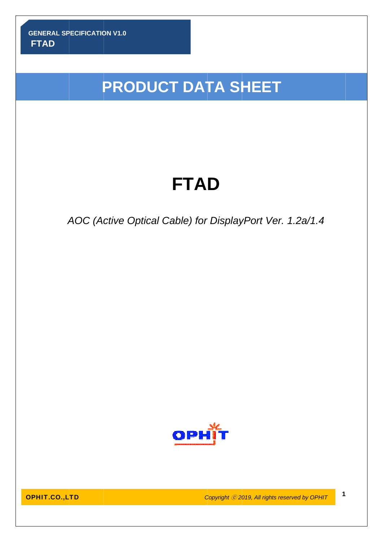i<br>I

# **PRODUCT DATA SHEET**

# **FTA D**

# AOC (Active Optical Cable) for DisplayPort Ver. 1.2a/1.4



OP HIT.CO.,L LTD

**Copyright © 2019, All rights reserved by OPHIT <b>1**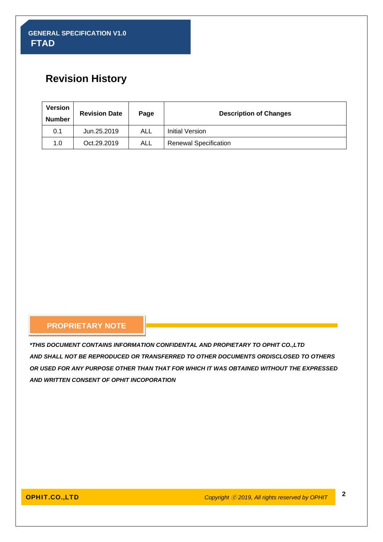# **Revision History**

| <b>Version</b><br><b>Number</b> | <b>Revision Date</b> | Page | <b>Description of Changes</b> |
|---------------------------------|----------------------|------|-------------------------------|
| 0.1                             | Jun.25.2019          | ALL  | Initial Version               |
| 1.0                             | Oct.29.2019          | ALL  | <b>Renewal Specification</b>  |

#### **PROPRIETARY NOTE**

*\*THIS DOCUMENT CONTAINS INFORMATION CONFIDENTAL AND PROPIETARY TO OPHIT CO.,LTD AND SHALL NOT BE REPRODUCED OR TRANSFERRED TO OTHER DOCUMENTS ORDISCLOSED TO OTHERS OR USED FOR ANY PURPOSE OTHER THAN THAT FOR WHICH IT WAS OBTAINED WITHOUT THE EXPRESSED AND WRITTEN CONSENT OF OPHIT INCOPORATION*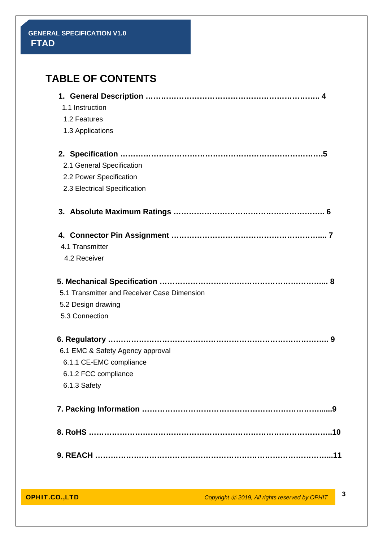| <b>TABLE OF CONTENTS</b>                    |
|---------------------------------------------|
| 1.1 Instruction                             |
| 1.2 Features                                |
| 1.3 Applications                            |
|                                             |
| 2.1 General Specification                   |
| 2.2 Power Specification                     |
| 2.3 Electrical Specification                |
|                                             |
|                                             |
| 4.1 Transmitter                             |
| 4.2 Receiver                                |
|                                             |
| 5.1 Transmitter and Receiver Case Dimension |
| 5.2 Design drawing                          |
| 5.3 Connection                              |
|                                             |
| 6.1 EMC & Safety Agency approval            |
| 6.1.1 CE-EMC compliance                     |
| 6.1.2 FCC compliance                        |
| 6.1.3 Safety                                |
|                                             |
|                                             |
|                                             |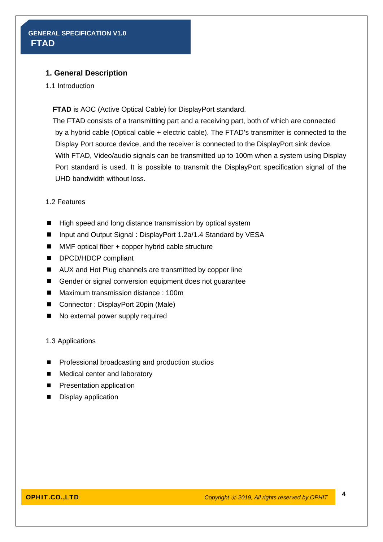#### **1. General Description**

1.1 Introduction

**FTAD** is AOC (Active Optical Cable) for DisplayPort standard.

The FTAD consists of a transmitting part and a receiving part, both of which are connected by a hybrid cable (Optical cable + electric cable). The FTAD's transmitter is connected to the Display Port source device, and the receiver is connected to the DisplayPort sink device. With FTAD, Video/audio signals can be transmitted up to 100m when a system using Display Port standard is used. It is possible to transmit the DisplayPort specification signal of the UHD bandwidth without loss.

#### 1.2 Features

- High speed and long distance transmission by optical system
- Input and Output Signal : DisplayPort 1.2a/1.4 Standard by VESA
- MMF optical fiber + copper hybrid cable structure
- DPCD/HDCP compliant
- AUX and Hot Plug channels are transmitted by copper line
- Gender or signal conversion equipment does not quarantee
- Maximum transmission distance : 100m
- Connector : DisplayPort 20pin (Male)
- No external power supply required

#### 1.3 Applications

- **Professional broadcasting and production studios**
- Medical center and laboratory
- **Presentation application**
- **Display application**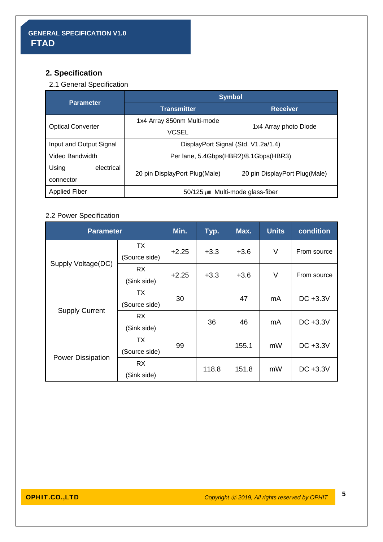# **2. Specification**

# 2.1 General Specification

| <b>Parameter</b>         | <b>Symbol</b>                         |                               |  |  |
|--------------------------|---------------------------------------|-------------------------------|--|--|
|                          | <b>Transmitter</b>                    | <b>Receiver</b>               |  |  |
|                          | 1x4 Array 850nm Multi-mode            |                               |  |  |
| <b>Optical Converter</b> | <b>VCSEL</b>                          | 1x4 Array photo Diode         |  |  |
| Input and Output Signal  | DisplayPort Signal (Std. V1.2a/1.4)   |                               |  |  |
| Video Bandwidth          | Per lane, 5.4Gbps(HBR2)/8.1Gbps(HBR3) |                               |  |  |
| Using<br>electrical      |                                       |                               |  |  |
| connector                | 20 pin DisplayPort Plug(Male)         | 20 pin DisplayPort Plug(Male) |  |  |
| <b>Applied Fiber</b>     | $50/125 \mu m$ Multi-mode glass-fiber |                               |  |  |

## 2.2 Power Specification

| <b>Parameter</b>         |               | Min.    | Typ.   | Max.   | <b>Units</b> | condition   |
|--------------------------|---------------|---------|--------|--------|--------------|-------------|
|                          | ТX            | $+2.25$ | $+3.3$ | $+3.6$ | $\vee$       | From source |
| Supply Voltage(DC)       | (Source side) |         |        |        |              |             |
|                          | <b>RX</b>     | $+2.25$ | $+3.3$ | $+3.6$ | V            | From source |
|                          | (Sink side)   |         |        |        |              |             |
|                          | ТX            | 30      |        | 47     | mA           | DC +3.3V    |
| <b>Supply Current</b>    | (Source side) |         |        |        |              |             |
|                          | <b>RX</b>     |         | 36     | 46     | mA           | DC +3.3V    |
|                          | (Sink side)   |         |        |        |              |             |
|                          | ТX            | 99      |        | 155.1  | mW           | DC +3.3V    |
|                          | (Source side) |         |        |        |              |             |
| <b>Power Dissipation</b> | <b>RX</b>     |         |        |        |              | DC +3.3V    |
|                          | (Sink side)   |         | 118.8  | 151.8  | mW           |             |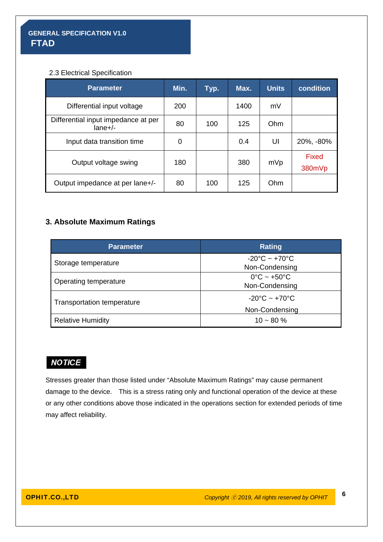#### 2.3 Electrical Specification

| <b>Parameter</b>                                | Min. | Typ. | Max. | <b>Units</b> | condition       |
|-------------------------------------------------|------|------|------|--------------|-----------------|
| Differential input voltage                      | 200  |      | 1400 | mV           |                 |
| Differential input impedance at per<br>$lane+/$ | 80   | 100  | 125  | Ohm          |                 |
| Input data transition time                      | 0    |      | 0.4  | UI           | 20%, -80%       |
| Output voltage swing                            | 180  |      | 380  | mVp          | Fixed<br>380mVp |
| Output impedance at per lane+/-                 | 80   | 100  | 125  | Ohm          |                 |

### **3. Absolute Maximum Ratings**

| <b>Parameter</b>             | <b>Rating</b>                                        |  |
|------------------------------|------------------------------------------------------|--|
| Storage temperature          | $-20^{\circ}$ C ~ +70 $^{\circ}$ C<br>Non-Condensing |  |
| <b>Operating temperature</b> | $0^{\circ}$ C ~ +50 $^{\circ}$ C<br>Non-Condensing   |  |
| Transportation temperature   | $-20^{\circ}$ C ~ $+70^{\circ}$ C                    |  |
|                              | Non-Condensing                                       |  |
| <b>Relative Humidity</b>     | $10 - 80 \%$                                         |  |

# **NOTICE**

Stresses greater than those listed under "Absolute Maximum Ratings" may cause permanent damage to the device. This is a stress rating only and functional operation of the device at these or any other conditions above those indicated in the operations section for extended periods of time may affect reliability.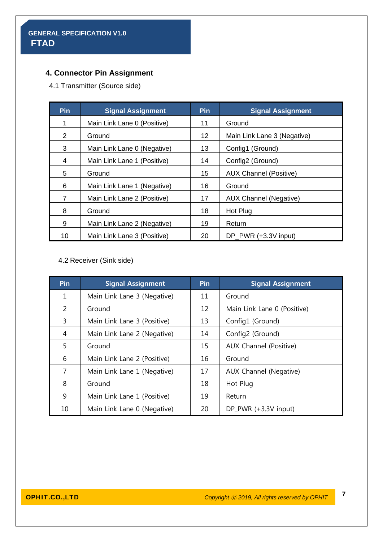# **4. Connector Pin Assignment**

4.1 Transmitter (Source side)

| Pin | <b>Signal Assignment</b>    | Pin | <b>Signal Assignment</b>      |
|-----|-----------------------------|-----|-------------------------------|
| 1   | Main Link Lane 0 (Positive) | 11  | Ground                        |
| 2   | Ground                      | 12  | Main Link Lane 3 (Negative)   |
| 3   | Main Link Lane 0 (Negative) | 13  | Config1 (Ground)              |
| 4   | Main Link Lane 1 (Positive) | 14  | Config2 (Ground)              |
| 5   | Ground                      | 15  | <b>AUX Channel (Positive)</b> |
| 6   | Main Link Lane 1 (Negative) | 16  | Ground                        |
| 7   | Main Link Lane 2 (Positive) | 17  | <b>AUX Channel (Negative)</b> |
| 8   | Ground                      | 18  | Hot Plug                      |
| 9   | Main Link Lane 2 (Negative) | 19  | Return                        |
| 10  | Main Link Lane 3 (Positive) | 20  | DP PWR (+3.3V input)          |

4.2 Receiver (Sink side)

| Pin           | <b>Signal Assignment</b>    | <b>Pin</b> | <b>Signal Assignment</b>    |
|---------------|-----------------------------|------------|-----------------------------|
| 1             | Main Link Lane 3 (Negative) | 11         | Ground                      |
| $\mathcal{P}$ | Ground                      | 12         | Main Link Lane 0 (Positive) |
| 3             | Main Link Lane 3 (Positive) | 13         | Config1 (Ground)            |
| 4             | Main Link Lane 2 (Negative) | 14         | Config2 (Ground)            |
| 5             | Ground                      | 15         | AUX Channel (Positive)      |
| 6             | Main Link Lane 2 (Positive) | 16         | Ground                      |
| 7             | Main Link Lane 1 (Negative) | 17         | AUX Channel (Negative)      |
| 8             | Ground                      | 18         | Hot Plug                    |
| 9             | Main Link Lane 1 (Positive) | 19         | Return                      |
| 10            | Main Link Lane 0 (Negative) | 20         | DP_PWR (+3.3V input)        |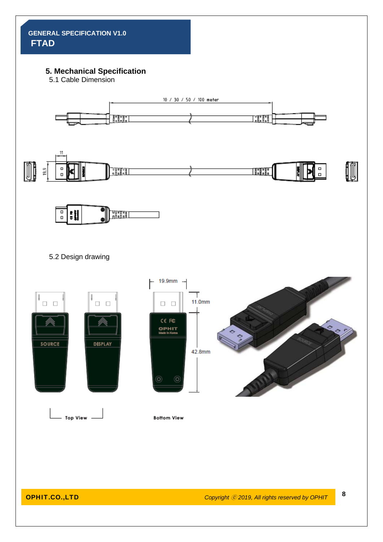# **5. Mechanical Specification**

5.1 Cable Dimension

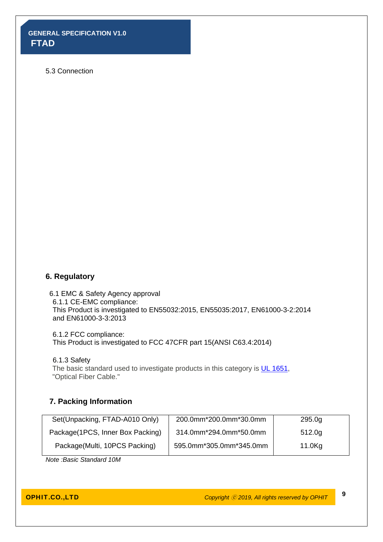#### 5.3 Connection

#### **6. Regulatory**

6.1 EMC & Safety Agency approval 6.1.1 CE-EMC compliance: This Product is investigated to EN55032:2015, EN55035:2017, EN61000-3-2:2014 and EN61000-3-3:2013

6.1.2 FCC compliance: This Product is investigated to FCC 47CFR part 15(ANSI C63.4:2014)

6.1.3 Safety

The basic standard used to investigate products in this category is UL 1651, "Optical Fiber Cable."

#### **7. Packing Information**

| Set(Unpacking, FTAD-A010 Only)   | 200.0mm*200.0mm*30.0mm  | 295.0 <sub>g</sub> |
|----------------------------------|-------------------------|--------------------|
| Package(1PCS, Inner Box Packing) | 314.0mm*294.0mm*50.0mm  | 512.0 <sub>g</sub> |
| Package(Multi, 10PCS Packing)    | 595.0mm*305.0mm*345.0mm | 11.0Kg             |

*Note :Basic Standard 10M*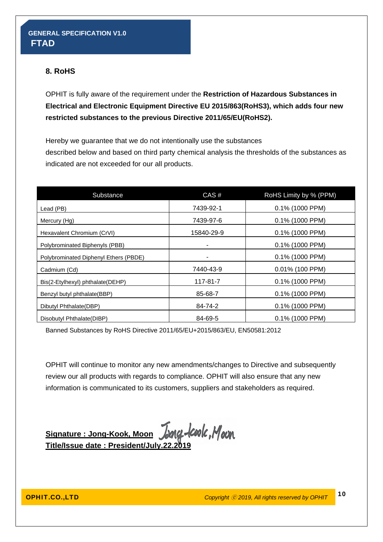### **8. RoHS**

OPHIT is fully aware of the requirement under the **Restriction of Hazardous Substances in Electrical and Electronic Equipment Directive EU 2015/863(RoHS3), which adds four new restricted substances to the previous Directive 2011/65/EU(RoHS2).** 

Hereby we guarantee that we do not intentionally use the substances described below and based on third party chemical analysis the thresholds of the substances as indicated are not exceeded for our all products.

| Substance                             | CAS#       | RoHS Limity by % (PPM) |
|---------------------------------------|------------|------------------------|
| Lead (PB)                             | 7439-92-1  | 0.1% (1000 PPM)        |
| Mercury (Hg)                          | 7439-97-6  | $0.1\%$ (1000 PPM)     |
| Hexavalent Chromium (CrVI)            | 15840-29-9 | 0.1% (1000 PPM)        |
| Polybrominated Biphenyls (PBB)        |            | 0.1% (1000 PPM)        |
| Polybrominated Diphenyl Ethers (PBDE) |            | $0.1\%$ (1000 PPM)     |
| Cadmium (Cd)                          | 7440-43-9  | 0.01% (100 PPM)        |
| Bis(2-Etylhexyl) phthalate(DEHP)      | 117-81-7   | $0.1\%$ (1000 PPM)     |
| Benzyl butyl phthalate(BBP)           | 85-68-7    | 0.1% (1000 PPM)        |
| Dibutyl Phthalate(DBP)                | 84-74-2    | $0.1\%$ (1000 PPM)     |
| Disobutyl Phthalate(DIBP)             | 84-69-5    | 0.1% (1000 PPM)        |

Banned Substances by RoHS Directive 2011/65/EU+2015/863/EU, EN50581:2012

OPHIT will continue to monitor any new amendments/changes to Directive and subsequently review our all products with regards to compliance. OPHIT will also ensure that any new information is communicated to its customers, suppliers and stakeholders as required.

Signature : Jong-Kook, Moon Jang-Coolc, Moon **Title/Issue date : President/July.22.2019**